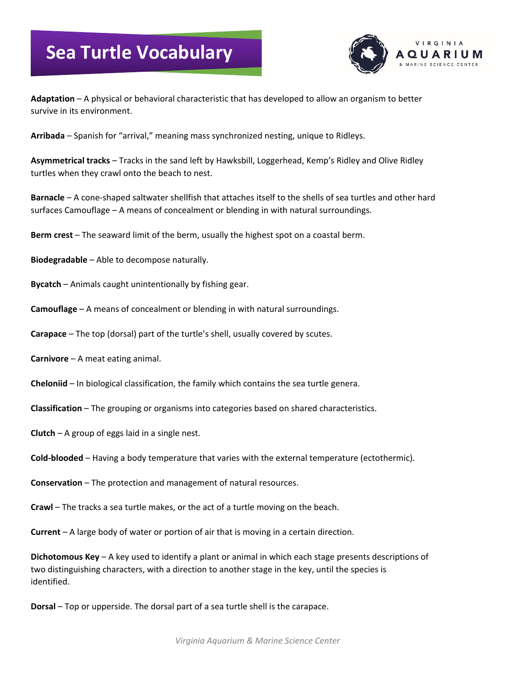## **Sea Turtle Vocabulary**



**Adaptation** – A physical or behavioral characteristic that has developed to allow an organism to better survive in its environment.

**Arribada** – Spanish for "arrival," meaning mass synchronized nesting, unique to Ridleys.

**Asymmetrical tracks** – Tracks in the sand left by Hawksbill, Loggerhead, Kemp's Ridley and Olive Ridley turtles when they crawl onto the beach to nest.

**Barnacle** – A cone-shaped saltwater shellfish that attaches itself to the shells of sea turtles and other hard surfaces Camouflage – A means of concealment or blending in with natural surroundings.

**Berm crest** – The seaward limit of the berm, usually the highest spot on a coastal berm.

**Biodegradable** – Able to decompose naturally.

**Bycatch** – Animals caught unintentionally by fishing gear.

**Camouflage** – A means of concealment or blending in with natural surroundings.

**Carapace** – The top (dorsal) part of the turtle's shell, usually covered by scutes.

**Carnivore** – A meat eating animal.

**Cheloniid** – In biological classification, the family which contains the sea turtle genera.

**Classification** – The grouping or organisms into categories based on shared characteristics.

**Clutch** – A group of eggs laid in a single nest.

**Cold-blooded** – Having a body temperature that varies with the external temperature (ectothermic).

**Conservation** – The protection and management of natural resources.

**Crawl** – The tracks a sea turtle makes, or the act of a turtle moving on the beach.

**Current** – A large body of water or portion of air that is moving in a certain direction.

**Dichotomous Key** – A key used to identify a plant or animal in which each stage presents descriptions of two distinguishing characters, with a direction to another stage in the key, until the species is identified.

**Dorsal** – Top or upperside. The dorsal part of a sea turtle shell is the carapace.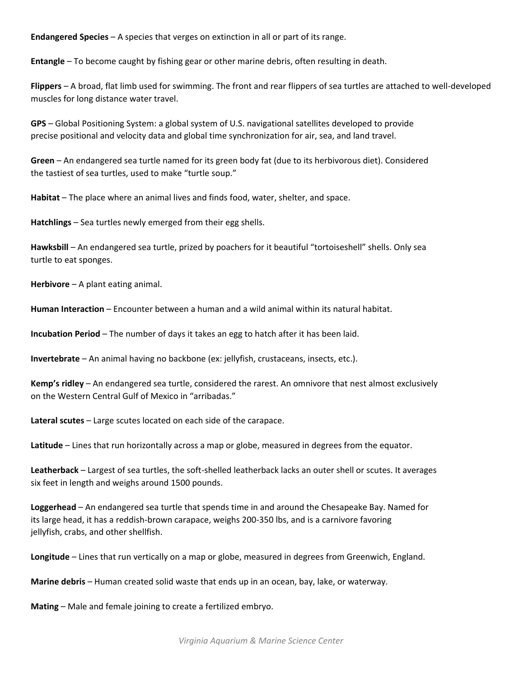**Endangered Species** – A species that verges on extinction in all or part of its range.

**Entangle** – To become caught by fishing gear or other marine debris, often resulting in death.

**Flippers** – A broad, flat limb used for swimming. The front and rear flippers of sea turtles are attached to well-developed muscles for long distance water travel.

**GPS** – Global Positioning System: a global system of U.S. navigational satellites developed to provide precise positional and velocity data and global time synchronization for air, sea, and land travel.

**Green** – An endangered sea turtle named for its green body fat (due to its herbivorous diet). Considered the tastiest of sea turtles, used to make "turtle soup."

**Habitat** – The place where an animal lives and finds food, water, shelter, and space.

**Hatchlings** – Sea turtles newly emerged from their egg shells.

**Hawksbill** – An endangered sea turtle, prized by poachers for it beautiful "tortoiseshell" shells. Only sea turtle to eat sponges.

**Herbivore** – A plant eating animal.

**Human Interaction** – Encounter between a human and a wild animal within its natural habitat.

**Incubation Period** – The number of days it takes an egg to hatch after it has been laid.

**Invertebrate** – An animal having no backbone (ex: jellyfish, crustaceans, insects, etc.).

**Kemp's ridley** – An endangered sea turtle, considered the rarest. An omnivore that nest almost exclusively on the Western Central Gulf of Mexico in "arribadas."

**Lateral scutes** – Large scutes located on each side of the carapace.

**Latitude** – Lines that run horizontally across a map or globe, measured in degrees from the equator.

**Leatherback** – Largest of sea turtles, the soft-shelled leatherback lacks an outer shell or scutes. It averages six feet in length and weighs around 1500 pounds.

**Loggerhead** – An endangered sea turtle that spends time in and around the Chesapeake Bay. Named for its large head, it has a reddish-brown carapace, weighs 200-350 lbs, and is a carnivore favoring jellyfish, crabs, and other shellfish.

**Longitude** – Lines that run vertically on a map or globe, measured in degrees from Greenwich, England.

**Marine debris** – Human created solid waste that ends up in an ocean, bay, lake, or waterway.

**Mating** – Male and female joining to create a fertilized embryo.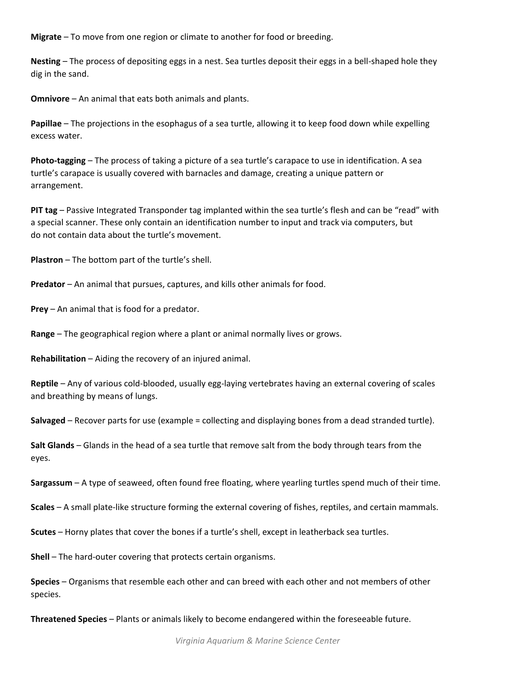**Migrate** – To move from one region or climate to another for food or breeding.

**Nesting** – The process of depositing eggs in a nest. Sea turtles deposit their eggs in a bell-shaped hole they dig in the sand.

**Omnivore** – An animal that eats both animals and plants.

**Papillae** – The projections in the esophagus of a sea turtle, allowing it to keep food down while expelling excess water.

**Photo-tagging** – The process of taking a picture of a sea turtle's carapace to use in identification. A sea turtle's carapace is usually covered with barnacles and damage, creating a unique pattern or arrangement.

**PIT tag** – Passive Integrated Transponder tag implanted within the sea turtle's flesh and can be "read" with a special scanner. These only contain an identification number to input and track via computers, but do not contain data about the turtle's movement.

**Plastron** – The bottom part of the turtle's shell.

**Predator** – An animal that pursues, captures, and kills other animals for food.

**Prey** – An animal that is food for a predator.

**Range** – The geographical region where a plant or animal normally lives or grows.

**Rehabilitation** – Aiding the recovery of an injured animal.

**Reptile** – Any of various cold-blooded, usually egg-laying vertebrates having an external covering of scales and breathing by means of lungs.

**Salvaged** – Recover parts for use (example = collecting and displaying bones from a dead stranded turtle).

**Salt Glands** – Glands in the head of a sea turtle that remove salt from the body through tears from the eyes.

**Sargassum** – A type of seaweed, often found free floating, where yearling turtles spend much of their time.

**Scales** – A small plate-like structure forming the external covering of fishes, reptiles, and certain mammals.

**Scutes** – Horny plates that cover the bones if a turtle's shell, except in leatherback sea turtles.

**Shell** – The hard-outer covering that protects certain organisms.

**Species** – Organisms that resemble each other and can breed with each other and not members of other species.

**Threatened Species** – Plants or animals likely to become endangered within the foreseeable future.